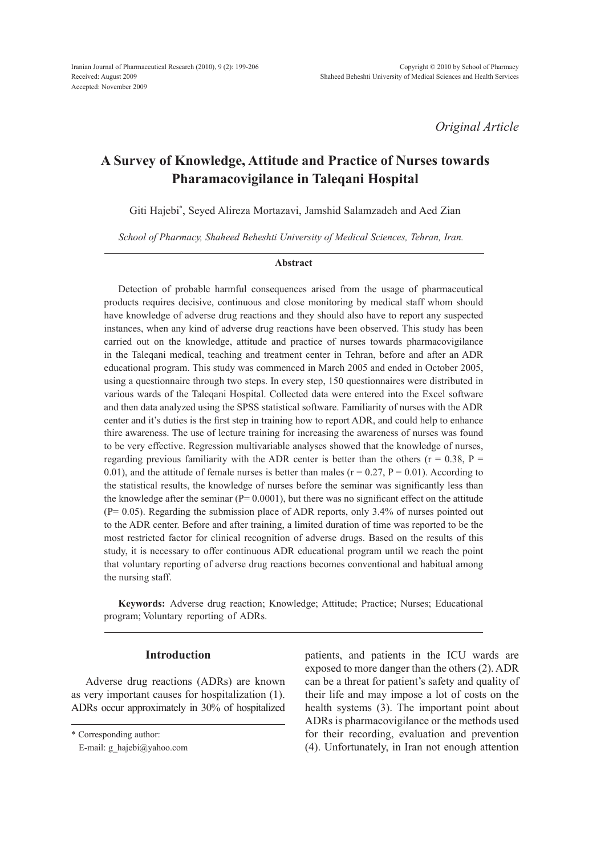*Original Article*

# **A Survey of Knowledge, Attitude and Practice of Nurses towards Pharamacovigilance in Taleqani Hospital**

Giti Hajebi\* , Seyed Alireza Mortazavi, Jamshid Salamzadeh and Aed Zian

*School of Pharmacy, Shaheed Beheshti University of Medical Sciences, Tehran, Iran.*

#### **Abstract**

Detection of probable harmful consequences arised from the usage of pharmaceutical products requires decisive, continuous and close monitoring by medical staff whom should have knowledge of adverse drug reactions and they should also have to report any suspected instances, when any kind of adverse drug reactions have been observed. This study has been carried out on the knowledge, attitude and practice of nurses towards pharmacovigilance in the Taleqani medical, teaching and treatment center in Tehran, before and after an ADR educational program. This study was commenced in March 2005 and ended in October 2005, using a questionnaire through two steps. In every step, 150 questionnaires were distributed in various wards of the Taleqani Hospital. Collected data were entered into the Excel software and then data analyzed using the SPSS statistical software. Familiarity of nurses with the ADR center and it's duties is the first step in training how to report ADR, and could help to enhance thire awareness. The use of lecture training for increasing the awareness of nurses was found to be very effective. Regression multivariable analyses showed that the knowledge of nurses, regarding previous familiarity with the ADR center is better than the others ( $r = 0.38$ ,  $P =$ 0.01), and the attitude of female nurses is better than males ( $r = 0.27$ ,  $P = 0.01$ ). According to the statistical results, the knowledge of nurses before the seminar was significantly less than the knowledge after the seminar  $(P= 0.0001)$ , but there was no significant effect on the attitude (P= 0.05). Regarding the submission place of ADR reports, only 3.4% of nurses pointed out to the ADR center. Before and after training, a limited duration of time was reported to be the most restricted factor for clinical recognition of adverse drugs. Based on the results of this study, it is necessary to offer continuous ADR educational program until we reach the point that voluntary reporting of adverse drug reactions becomes conventional and habitual among the nursing staff.

**Keywords:** Adverse drug reaction; Knowledge; Attitude; Practice; Nurses; Educational program; Voluntary reporting of ADRs.

## **Introduction**

Adverse drug reactions (ADRs) are known as very important causes for hospitalization (1). ADRs occur approximately in 30% of hospitalized

patients, and patients in the ICU wards are exposed to more danger than the others (2). ADR can be a threat for patient's safety and quality of their life and may impose a lot of costs on the health systems (3). The important point about ADRs is pharmacovigilance or the methods used for their recording, evaluation and prevention (4). Unfortunately, in Iran not enough attention

<sup>\*</sup> Corresponding author:

E-mail: g\_hajebi@yahoo.com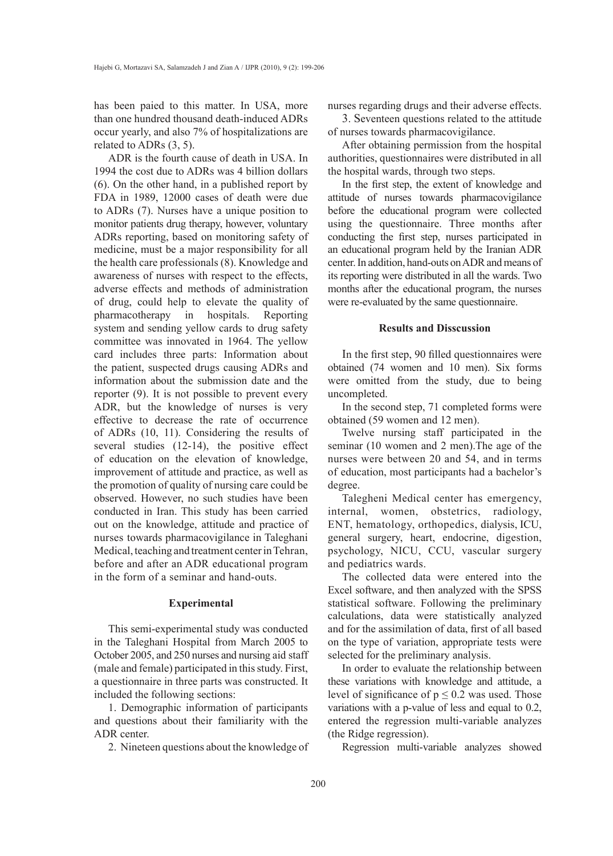has been paied to this matter. In USA, more than one hundred thousand death-induced ADRs occur yearly, and also 7% of hospitalizations are related to ADRs (3, 5).

ADR is the fourth cause of death in USA. In 1994 the cost due to ADRs was 4 billion dollars (6). On the other hand, in a published report by FDA in 1989, 12000 cases of death were due to ADRs (7). Nurses have a unique position to monitor patients drug therapy, however, voluntary ADRs reporting, based on monitoring safety of medicine, must be a major responsibility for all the health care professionals (8). Knowledge and awareness of nurses with respect to the effects, adverse effects and methods of administration of drug, could help to elevate the quality of pharmacotherapy in hospitals. Reporting system and sending yellow cards to drug safety committee was innovated in 1964. The yellow card includes three parts: Information about the patient, suspected drugs causing ADRs and information about the submission date and the reporter (9). It is not possible to prevent every ADR, but the knowledge of nurses is very effective to decrease the rate of occurrence of ADRs (10, 11). Considering the results of several studies (12-14), the positive effect of education on the elevation of knowledge, improvement of attitude and practice, as well as the promotion of quality of nursing care could be observed. However, no such studies have been conducted in Iran. This study has been carried out on the knowledge, attitude and practice of nurses towards pharmacovigilance in Taleghani Medical, teaching and treatment center in Tehran, before and after an ADR educational program in the form of a seminar and hand-outs.

## **Experimental**

This semi-experimental study was conducted in the Taleghani Hospital from March 2005 to October 2005, and 250 nurses and nursing aid staff (male and female) participated in this study. First, a questionnaire in three parts was constructed. It included the following sections:

1. Demographic information of participants and questions about their familiarity with the ADR center.

2. Nineteen questions about the knowledge of

nurses regarding drugs and their adverse effects.

3. Seventeen questions related to the attitude of nurses towards pharmacovigilance.

After obtaining permission from the hospital authorities, questionnaires were distributed in all the hospital wards, through two steps.

In the first step, the extent of knowledge and attitude of nurses towards pharmacovigilance before the educational program were collected using the questionnaire. Three months after conducting the first step, nurses participated in an educational program held by the Iranian ADR center. In addition, hand-outs on ADR and means of its reporting were distributed in all the wards. Two months after the educational program, the nurses were re-evaluated by the same questionnaire.

#### **Results and Disscussion**

In the first step, 90 filled questionnaires were obtained (74 women and 10 men). Six forms were omitted from the study, due to being uncompleted.

In the second step, 71 completed forms were obtained (59 women and 12 men).

Twelve nursing staff participated in the seminar (10 women and 2 men).The age of the nurses were between 20 and 54, and in terms of education, most participants had a bachelor's degree.

Talegheni Medical center has emergency, internal, women, obstetrics, radiology, ENT, hematology, orthopedics, dialysis, ICU, general surgery, heart, endocrine, digestion, psychology, NICU, CCU, vascular surgery and pediatrics wards.

The collected data were entered into the Excel software, and then analyzed with the SPSS statistical software. Following the preliminary calculations, data were statistically analyzed and for the assimilation of data, first of all based on the type of variation, appropriate tests were selected for the preliminary analysis.

In order to evaluate the relationship between these variations with knowledge and attitude, a level of significance of  $p \le 0.2$  was used. Those variations with a p-value of less and equal to 0.2, entered the regression multi-variable analyzes (the Ridge regression).

Regression multi-variable analyzes showed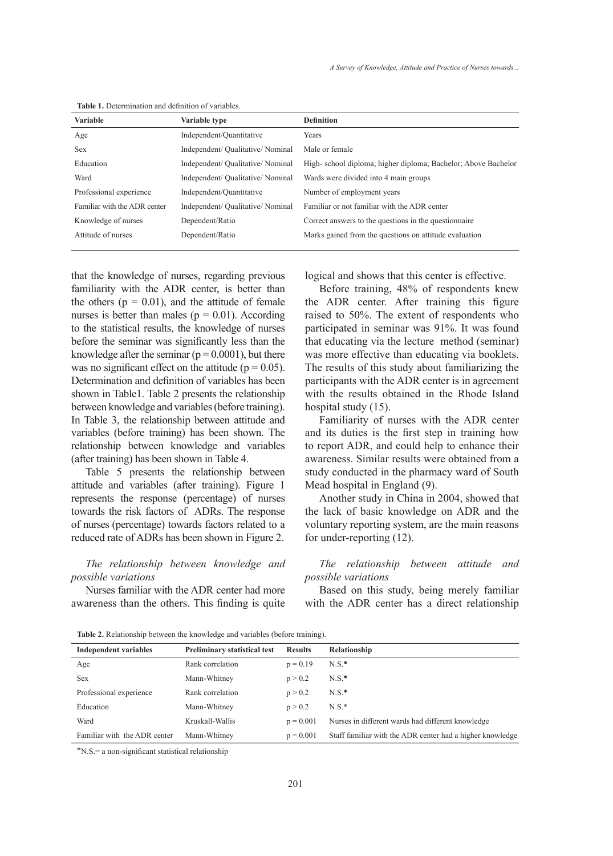| <b>Variable</b>              | Variable type                     | <b>Definition</b>                                             |
|------------------------------|-----------------------------------|---------------------------------------------------------------|
| Age                          | Independent/Quantitative          | Years                                                         |
| <b>Sex</b>                   | Independent/ Qualitative/ Nominal | Male or female                                                |
| Education                    | Independent/ Qualitative/ Nominal | High-school diploma; higher diploma; Bachelor; Above Bachelor |
| Ward                         | Independent/ Qualitative/ Nominal | Wards were divided into 4 main groups                         |
| Professional experience      | Independent/Quantitative          | Number of employment years                                    |
| Familiar with the ADR center | Independent/ Qualitative/ Nominal | Familiar or not familiar with the ADR center                  |
| Knowledge of nurses          | Dependent/Ratio                   | Correct answers to the questions in the questionnaire         |
| Attitude of nurses           | Dependent/Ratio                   | Marks gained from the questions on attitude evaluation        |
|                              |                                   |                                                               |

**Table 1.** Determination and definition of variables.

that the knowledge of nurses, regarding previous familiarity with the ADR center, is better than the others ( $p = 0.01$ ), and the attitude of female nurses is better than males ( $p = 0.01$ ). According to the statistical results, the knowledge of nurses before the seminar was significantly less than the knowledge after the seminar  $(p = 0.0001)$ , but there was no significant effect on the attitude ( $p = 0.05$ ). Determination and definition of variables has been shown in Table1. Table 2 presents the relationship between knowledge and variables (before training). In Table 3, the relationship between attitude and variables (before training) has been shown. The relationship between knowledge and variables (after training) has been shown in Table 4.

Table 5 presents the relationship between attitude and variables (after training). Figure 1 represents the response (percentage) of nurses towards the risk factors of ADRs. The response of nurses (percentage) towards factors related to a reduced rate of ADRs has been shown in Figure 2.

*The relationship between knowledge and possible variations*

Nurses familiar with the ADR center had more awareness than the others. This finding is quite logical and shows that this center is effective.

Before training, 48% of respondents knew the ADR center. After training this figure raised to 50%. The extent of respondents who participated in seminar was 91%. It was found that educating via the lecture method (seminar) was more effective than educating via booklets. The results of this study about familiarizing the participants with the ADR center is in agreement with the results obtained in the Rhode Island hospital study (15).

Familiarity of nurses with the ADR center and its duties is the first step in training how to report ADR, and could help to enhance their awareness. Similar results were obtained from a study conducted in the pharmacy ward of South Mead hospital in England (9).

Another study in China in 2004, showed that the lack of basic knowledge on ADR and the voluntary reporting system, are the main reasons for under-reporting (12).

## *The relationship between attitude and possible variations*

Based on this study, being merely familiar with the ADR center has a direct relationship

| Independent variables        | <b>Preliminary statistical test</b> | <b>Results</b> | Relationship                                              |
|------------------------------|-------------------------------------|----------------|-----------------------------------------------------------|
| Age                          | Rank correlation                    | $p = 0.19$     | $N.S.$ *                                                  |
| <b>Sex</b>                   | Mann-Whitney                        | p > 0.2        | $N.S.$ *                                                  |
| Professional experience      | Rank correlation                    | p > 0.2        | $N.S.$ *                                                  |
| Education                    | Mann-Whitney                        | p > 0.2        | $NS*$                                                     |
| Ward                         | Kruskall-Wallis                     | $p = 0.001$    | Nurses in different wards had different knowledge         |
| Familiar with the ADR center | Mann-Whitney                        | $p = 0.001$    | Staff familiar with the ADR center had a higher knowledge |

**Table 2.** Relationship between the knowledge and variables (before training).

∗N.S.= a non-significant statistical relationship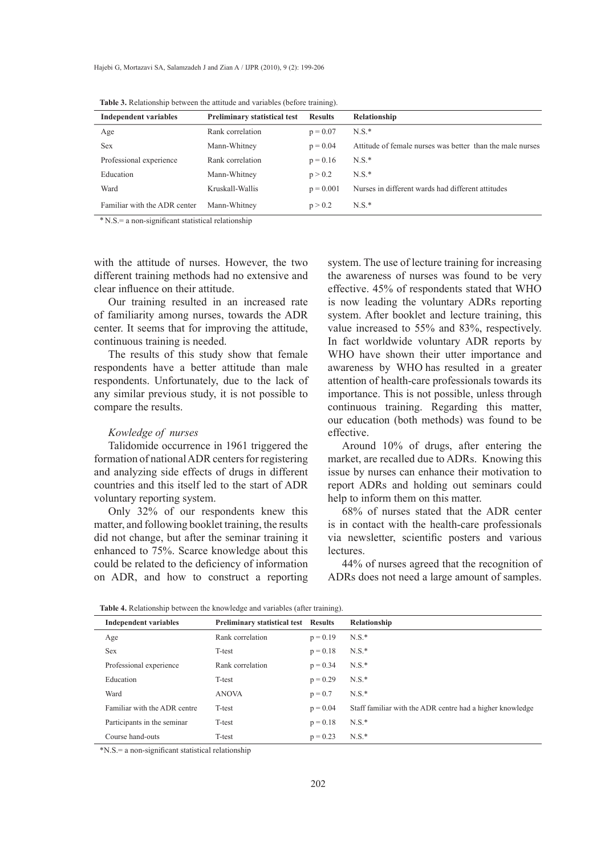| <b>Independent variables</b> | <b>Preliminary statistical test</b> | <b>Results</b> | Relationship                                              |
|------------------------------|-------------------------------------|----------------|-----------------------------------------------------------|
| Age                          | Rank correlation                    | $p = 0.07$     | $N.S.*$                                                   |
| <b>Sex</b>                   | Mann-Whitney                        | $p = 0.04$     | Attitude of female nurses was better than the male nurses |
| Professional experience      | Rank correlation                    | $p = 0.16$     | $N.S.*$                                                   |
| Education                    | Mann-Whitney                        | p > 0.2        | $N.S.*$                                                   |
| Ward                         | Kruskall-Wallis                     | $p = 0.001$    | Nurses in different wards had different attitudes         |
| Familiar with the ADR center | Mann-Whitney                        | p > 0.2        | $N.S.*$                                                   |
|                              |                                     |                |                                                           |

**Table 3.** Relationship between the attitude and variables (before training).

\* N.S.= a non-significant statistical relationship

with the attitude of nurses. However, the two different training methods had no extensive and clear influence on their attitude.

Our training resulted in an increased rate of familiarity among nurses, towards the ADR center. It seems that for improving the attitude, continuous training is needed.

The results of this study show that female respondents have a better attitude than male respondents. Unfortunately, due to the lack of any similar previous study, it is not possible to compare the results.

#### *Kowledge of nurses*

Talidomide occurrence in 1961 triggered the formation of national ADR centers for registering and analyzing side effects of drugs in different countries and this itself led to the start of ADR voluntary reporting system.

Only 32% of our respondents knew this matter, and following booklet training, the results did not change, but after the seminar training it enhanced to 75%. Scarce knowledge about this could be related to the deficiency of information on ADR, and how to construct a reporting system. The use of lecture training for increasing the awareness of nurses was found to be very effective. 45% of respondents stated that WHO is now leading the voluntary ADRs reporting system. After booklet and lecture training, this value increased to 55% and 83%, respectively. In fact worldwide voluntary ADR reports by WHO have shown their utter importance and awareness by WHO has resulted in a greater attention of health-care professionals towards its importance. This is not possible, unless through continuous training. Regarding this matter, our education (both methods) was found to be effective.

Around 10% of drugs, after entering the market, are recalled due to ADRs. Knowing this issue by nurses can enhance their motivation to report ADRs and holding out seminars could help to inform them on this matter.

68% of nurses stated that the ADR center is in contact with the health-care professionals via newsletter, scientific posters and various lectures.

44% of nurses agreed that the recognition of ADRs does not need a large amount of samples.

| <b>Table 4.</b> Relationship between the knowledge and variables (after training). |  |  |
|------------------------------------------------------------------------------------|--|--|
|------------------------------------------------------------------------------------|--|--|

| <b>Independent variables</b> | <b>Preliminary statistical test</b> Results |            | Relationship                                              |
|------------------------------|---------------------------------------------|------------|-----------------------------------------------------------|
| Age                          | Rank correlation                            | $p = 0.19$ | $N.S.*$                                                   |
| <b>Sex</b>                   | T-test                                      | $p = 0.18$ | $N.S.*$                                                   |
| Professional experience      | Rank correlation                            | $p = 0.34$ | $N.S.*$                                                   |
| Education                    | T-test                                      | $p = 0.29$ | $N.S.*$                                                   |
| Ward                         | <b>ANOVA</b>                                | $p = 0.7$  | $N.S.*$                                                   |
| Familiar with the ADR centre | T-test                                      | $p = 0.04$ | Staff familiar with the ADR centre had a higher knowledge |
| Participants in the seminar  | T-test                                      | $p = 0.18$ | $N.S.*$                                                   |
| Course hand-outs             | T-test                                      | $p = 0.23$ | $N.S.*$                                                   |

\*N.S.= a non-significant statistical relationship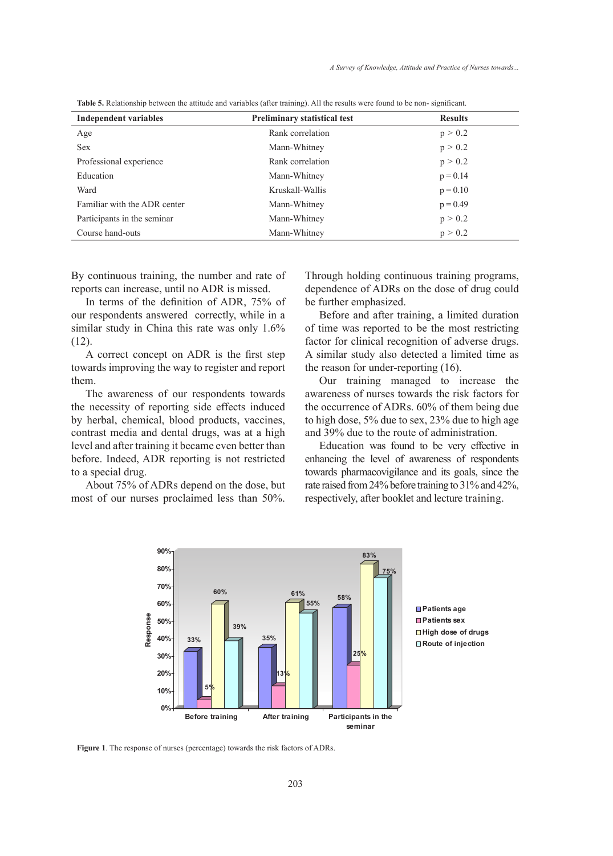| <b>Independent variables</b> | <b>Preliminary statistical test</b> | <b>Results</b> |
|------------------------------|-------------------------------------|----------------|
| Age                          | Rank correlation                    | p > 0.2        |
| <b>Sex</b>                   | Mann-Whitney                        | p > 0.2        |
| Professional experience      | Rank correlation                    | p > 0.2        |
| Education                    | Mann-Whitney                        | $p = 0.14$     |
| Ward                         | Kruskall-Wallis                     | $p = 0.10$     |
| Familiar with the ADR center | Mann-Whitney                        | $p = 0.49$     |
| Participants in the seminar  | Mann-Whitney                        | p > 0.2        |
| Course hand-outs             | Mann-Whitney                        | p > 0.2        |

**Table 5.** Relationship between the attitude and variables (after training). All the results were found to be non- significant.

By continuous training, the number and rate of reports can increase, until no ADR is missed.

In terms of the definition of ADR, 75% of our respondents answered correctly, while in a similar study in China this rate was only 1.6% (12).

A correct concept on ADR is the first step towards improving the way to register and report them.

The awareness of our respondents towards the necessity of reporting side effects induced by herbal, chemical, blood products, vaccines, contrast media and dental drugs, was at a high level and after training it became even better than before. Indeed, ADR reporting is not restricted to a special drug.

About 75% of ADRs depend on the dose, but most of our nurses proclaimed less than 50%. Through holding continuous training programs, dependence of ADRs on the dose of drug could be further emphasized.

Before and after training, a limited duration of time was reported to be the most restricting factor for clinical recognition of adverse drugs. A similar study also detected a limited time as the reason for under-reporting (16).

Our training managed to increase the awareness of nurses towards the risk factors for the occurrence of ADRs. 60% of them being due to high dose, 5% due to sex, 23% due to high age and 39% due to the route of administration.

Education was found to be very effective in enhancing the level of awareness of respondents towards pharmacovigilance and its goals, since the rate raised from 24% before training to 31% and 42%, respectively, after booklet and lecture training.



**Patients age Patients sex High dose of drugs Route of injection**

**Figure 1**. The response of nurses (percentage) towards the risk factors of ADRs.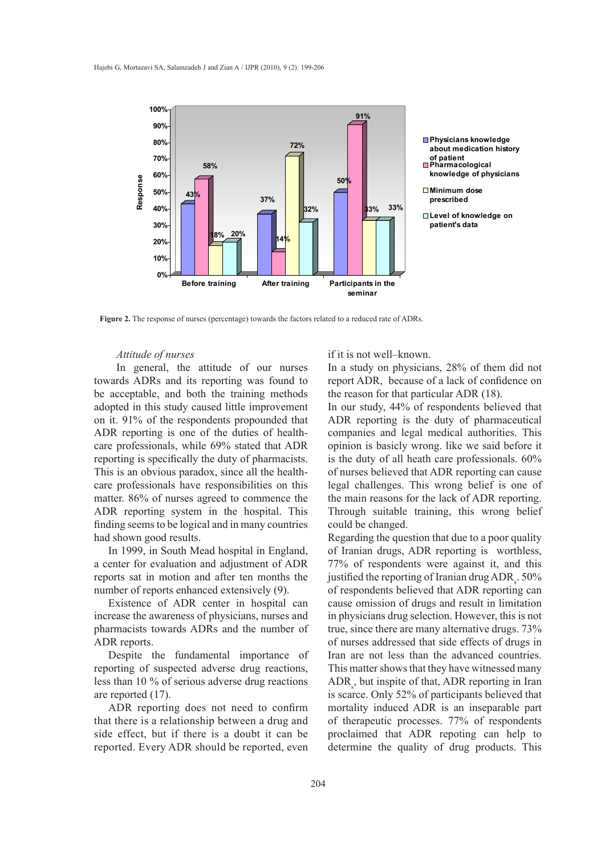

**Physicians knowledge about medication history of patient Pharmacological knowledge of physicians**

**Minimum dose prescribed**

**Level of knowledge on patient's data**

**Figure 2.** The response of nurses (percentage) towards the factors related to a reduced rate of ADRs.

### *Attitude of nurses*

 In general, the attitude of our nurses towards ADRs and its reporting was found to be acceptable, and both the training methods adopted in this study caused little improvement on it. 91% of the respondents propounded that ADR reporting is one of the duties of healthcare professionals, while 69% stated that ADR reporting is specifically the duty of pharmacists. This is an obvious paradox, since all the healthcare professionals have responsibilities on this matter. 86% of nurses agreed to commence the ADR reporting system in the hospital. This finding seems to be logical and in many countries had shown good results.

In 1999, in South Mead hospital in England, a center for evaluation and adjustment of ADR reports sat in motion and after ten months the number of reports enhanced extensively (9).

Existence of ADR center in hospital can increase the awareness of physicians, nurses and pharmacists towards ADRs and the number of ADR reports.

Despite the fundamental importance of reporting of suspected adverse drug reactions, less than 10 % of serious adverse drug reactions are reported (17).

ADR reporting does not need to confirm that there is a relationship between a drug and side effect, but if there is a doubt it can be reported. Every ADR should be reported, even

## if it is not well–known.

In a study on physicians, 28% of them did not report ADR, because of a lack of confidence on the reason for that particular ADR (18).

In our study, 44% of respondents believed that ADR reporting is the duty of pharmaceutical companies and legal medical authorities. This opinion is basicly wrong. like we said before it 19 is the duty of all heath care professionals. 60% of nurses believed that ADR reporting can cause legal challenges. This wrong belief is one of the main reasons for the lack of ADR reporting. Through suitable training, this wrong belief could be changed.

Regarding the question that due to a poor quality of Iranian drugs, ADR reporting is worthless, 77% of respondents were against it, and this justified the reporting of Iranian drug  $\text{ADR}_\text{s}$ . 50% of respondents believed that ADR reporting can cause omission of drugs and result in limitation in physicians drug selection. However, this is not true, since there are many alternative drugs. 73% of nurses addressed that side effects of drugs in Iran are not less than the advanced countries. This matter shows that they have witnessed many  $\text{ADR}_s$ , but inspite of that, ADR reporting in Iran is scarce. Only 52% of participants believed that mortality induced ADR is an inseparable part of therapeutic processes. 77% of respondents proclaimed that ADR repoting can help to determine the quality of drug products. This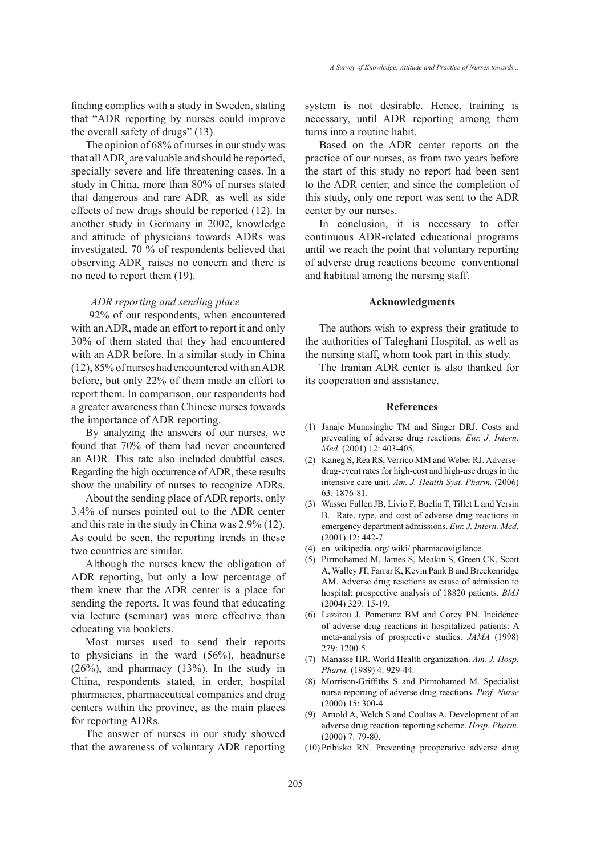finding complies with a study in Sweden, stating that "ADR reporting by nurses could improve the overall safety of drugs" (13).

The opinion of 68% of nurses in our study was that all  $\rm{ADR}_s$  are valuable and should be reported, specially severe and life threatening cases. In a study in China, more than 80% of nurses stated that dangerous and rare  $\angle ADR_s$  as well as side effects of new drugs should be reported (12). In another study in Germany in 2002, knowledge and attitude of physicians towards ADRs was investigated. 70 % of respondents believed that observing  $ADR<sub>s</sub>$  raises no concern and there is no need to report them (19).

## *ADR reporting and sending place*

 92% of our respondents, when encountered with an ADR, made an effort to report it and only 30% of them stated that they had encountered with an ADR before. In a similar study in China (12), 85% of nurses had encountered with an ADR before, but only 22% of them made an effort to report them. In comparison, our respondents had a greater awareness than Chinese nurses towards the importance of ADR reporting.

By analyzing the answers of our nurses, we found that 70% of them had never encountered an ADR. This rate also included doubtful cases. Regarding the high occurrence of ADR, these results show the unability of nurses to recognize ADRs.

About the sending place of ADR reports, only 3.4% of nurses pointed out to the ADR center and this rate in the study in China was 2.9% (12). As could be seen, the reporting trends in these two countries are similar.

Although the nurses knew the obligation of ADR reporting, but only a low percentage of them knew that the ADR center is a place for sending the reports. It was found that educating via lecture (seminar) was more effective than educating via booklets.

Most nurses used to send their reports to physicians in the ward (56%), headnurse (26%), and pharmacy (13%). In the study in China, respondents stated, in order, hospital pharmacies, pharmaceutical companies and drug centers within the province, as the main places for reporting ADRs.

The answer of nurses in our study showed that the awareness of voluntary ADR reporting system is not desirable. Hence, training is necessary, until ADR reporting among them turns into a routine habit.

Based on the ADR center reports on the practice of our nurses, as from two years before the start of this study no report had been sent to the ADR center, and since the completion of this study, only one report was sent to the ADR center by our nurses.

In conclusion, it is necessary to offer continuous ADR-related educational programs until we reach the point that voluntary reporting of adverse drug reactions become conventional and habitual among the nursing staff.

#### **Acknowledgments**

The authors wish to express their gratitude to the authorities of Taleghani Hospital, as well as the nursing staff, whom took part in this study.

The Iranian ADR center is also thanked for its cooperation and assistance.

#### **References**

- (1) Janaje Munasinghe TM and Singer DRJ. Costs and preventing of adverse drug reactions. *Eur. J. Intern. Med.* (2001) 12: 403-405.
- (2) Kaneg S, Rea RS, Verrico MM and Weber RJ. Adversedrug-event rates for high-cost and high-use drugs in the intensive care unit. *Am. J. Health Syst. Pharm.* (2006) 63: 1876-81.
- Wasser Fallen JB, Livio F, Buclin T, Tillet L and Yersin (3) B. Rate, type, and cost of adverse drug reactions in emergency department admissions. *Eur. J. Intern. Med.* (2001) 12: 442-7.
- en. wikipedia. org/ wiki/ pharmacovigilance. (4)
- (5) Pirmohamed M, James S, Meakin S, Green CK, Scott A, Walley JT, Farrar K, Kevin Pank B and Breckenridge AM. Adverse drug reactions as cause of admission to hospital: prospective analysis of 18820 patients. *BMJ* (2004) 329: 15-19.
- Lazarou J, Pomeranz BM and Corey PN. Incidence (6) of adverse drug reactions in hospitalized patients: A meta-analysis of prospective studies. *JAMA* (1998) 279: 1200-5.
- Manasse HR. World Health organization. *Am. J. Hosp.*  (7) *Pharm.* (1989) 4: 929-44.
- Morrison-Griffiths S and Pirmohamed M. Specialist (8) nurse reporting of adverse drug reactions. *Prof. Nurse* (2000) 15: 300-4.
- Arnold A, Welch S and Coultas A. Development of an (9) adverse drug reaction-reporting scheme. *Hosp. Pharm*. (2000) 7: 79-80.
- (10) Pribisko RN. Preventing preoperative adverse drug